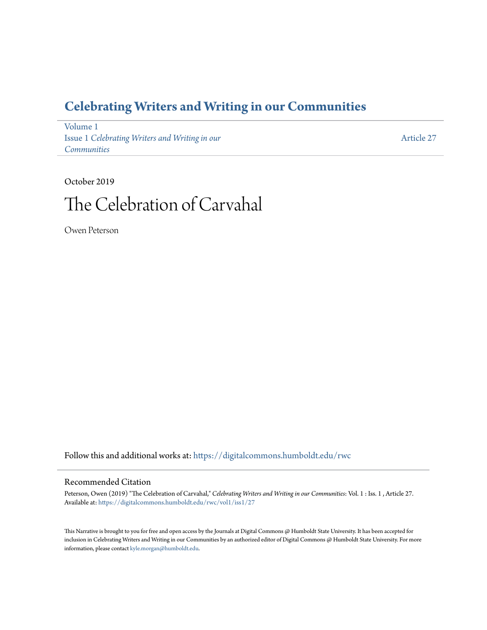## **[Celebrating Writers and Writing in our Communities](https://digitalcommons.humboldt.edu/rwc?utm_source=digitalcommons.humboldt.edu%2Frwc%2Fvol1%2Fiss1%2F27&utm_medium=PDF&utm_campaign=PDFCoverPages)**

[Volume 1](https://digitalcommons.humboldt.edu/rwc/vol1?utm_source=digitalcommons.humboldt.edu%2Frwc%2Fvol1%2Fiss1%2F27&utm_medium=PDF&utm_campaign=PDFCoverPages) Issue 1 *[Celebrating Writers and Writing in our](https://digitalcommons.humboldt.edu/rwc/vol1/iss1?utm_source=digitalcommons.humboldt.edu%2Frwc%2Fvol1%2Fiss1%2F27&utm_medium=PDF&utm_campaign=PDFCoverPages) [Communities](https://digitalcommons.humboldt.edu/rwc/vol1/iss1?utm_source=digitalcommons.humboldt.edu%2Frwc%2Fvol1%2Fiss1%2F27&utm_medium=PDF&utm_campaign=PDFCoverPages)*

[Article 27](https://digitalcommons.humboldt.edu/rwc/vol1/iss1/27?utm_source=digitalcommons.humboldt.edu%2Frwc%2Fvol1%2Fiss1%2F27&utm_medium=PDF&utm_campaign=PDFCoverPages)

October 2019

## The Celebration of Carvahal

Owen Peterson

Follow this and additional works at: [https://digitalcommons.humboldt.edu/rwc](https://digitalcommons.humboldt.edu/rwc?utm_source=digitalcommons.humboldt.edu%2Frwc%2Fvol1%2Fiss1%2F27&utm_medium=PDF&utm_campaign=PDFCoverPages)

## Recommended Citation

Peterson, Owen (2019) "The Celebration of Carvahal," *Celebrating Writers and Writing in our Communities*: Vol. 1 : Iss. 1 , Article 27. Available at: [https://digitalcommons.humboldt.edu/rwc/vol1/iss1/27](https://digitalcommons.humboldt.edu/rwc/vol1/iss1/27?utm_source=digitalcommons.humboldt.edu%2Frwc%2Fvol1%2Fiss1%2F27&utm_medium=PDF&utm_campaign=PDFCoverPages)

This Narrative is brought to you for free and open access by the Journals at Digital Commons @ Humboldt State University. It has been accepted for inclusion in Celebrating Writers and Writing in our Communities by an authorized editor of Digital Commons @ Humboldt State University. For more information, please contact [kyle.morgan@humboldt.edu.](mailto:kyle.morgan@humboldt.edu)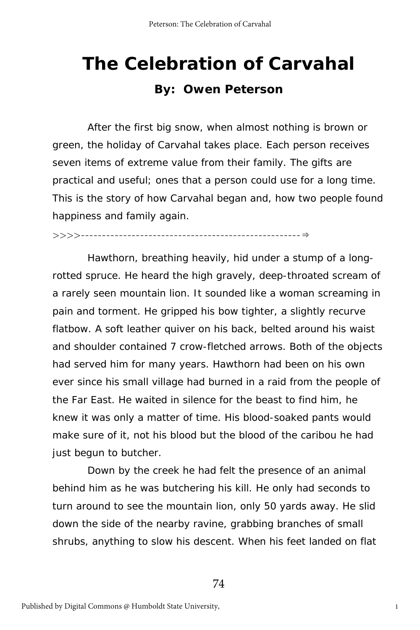## **The Celebration of Carvahal By: Owen Peterson**

After the first big snow, when almost nothing is brown or green, the holiday of Carvahal takes place. Each person receives seven items of extreme value from their family. The gifts are practical and useful; ones that a person could use for a long time. This is the story of how Carvahal began and, how two people found happiness and family again.

>>>>----------------------------------------------------⇒

Hawthorn, breathing heavily, hid under a stump of a longrotted spruce. He heard the high gravely, deep-throated scream of a rarely seen mountain lion. It sounded like a woman screaming in pain and torment. He gripped his bow tighter, a slightly recurve flatbow. A soft leather quiver on his back, belted around his waist and shoulder contained 7 crow-fletched arrows. Both of the objects had served him for many years. Hawthorn had been on his own ever since his small village had burned in a raid from the people of the Far East. He waited in silence for the beast to find him, he knew it was only a matter of time. His blood-soaked pants would make sure of it, not his blood but the blood of the caribou he had just begun to butcher.

Down by the creek he had felt the presence of an animal behind him as he was butchering his kill. He only had seconds to turn around to see the mountain lion, only 50 yards away. He slid down the side of the nearby ravine, grabbing branches of small shrubs, anything to slow his descent. When his feet landed on flat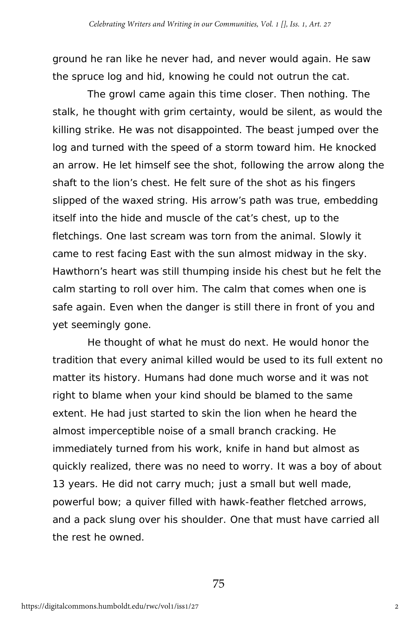ground he ran like he never had, and never would again. He saw the spruce log and hid, knowing he could not outrun the cat.

The growl came again this time closer. Then nothing. The stalk, he thought with grim certainty, would be silent, as would the killing strike. He was not disappointed. The beast jumped over the log and turned with the speed of a storm toward him. He knocked an arrow. He let himself see the shot, following the arrow along the shaft to the lion's chest. He felt sure of the shot as his fingers slipped of the waxed string. His arrow's path was true, embedding itself into the hide and muscle of the cat's chest, up to the fletchings. One last scream was torn from the animal. Slowly it came to rest facing East with the sun almost midway in the sky. Hawthorn's heart was still thumping inside his chest but he felt the calm starting to roll over him. The calm that comes when one is safe again. Even when the danger is still there in front of you and yet seemingly gone.

He thought of what he must do next. He would honor the tradition that every animal killed would be used to its full extent no matter its history. Humans had done much worse and it was not right to blame when your kind should be blamed to the same extent. He had just started to skin the lion when he heard the almost imperceptible noise of a small branch cracking. He immediately turned from his work, knife in hand but almost as quickly realized, there was no need to worry. It was a boy of about 13 years. He did not carry much; just a small but well made, powerful bow; a quiver filled with hawk-feather fletched arrows, and a pack slung over his shoulder. One that must have carried all the rest he owned.

75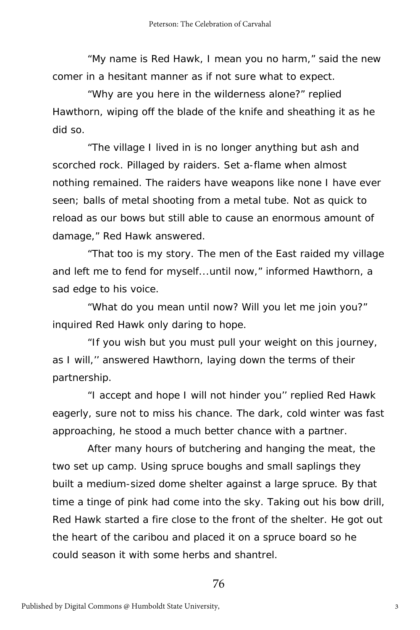"My name is Red Hawk, I mean you no harm," said the new comer in a hesitant manner as if not sure what to expect.

"Why are you here in the wilderness alone?" replied Hawthorn, wiping off the blade of the knife and sheathing it as he did so.

"The village I lived in is no longer anything but ash and scorched rock. Pillaged by raiders. Set a-flame when almost nothing remained. The raiders have weapons like none I have ever seen; balls of metal shooting from a metal tube. Not as quick to reload as our bows but still able to cause an enormous amount of damage," Red Hawk answered.

"That too is my story. The men of the East raided my village and left me to fend for myself...until now," informed Hawthorn, a sad edge to his voice.

"What do you mean *until now*? Will you let me join you?" inquired Red Hawk only daring to hope.

"If you wish but you must pull your weight on this journey, as I will,'' answered Hawthorn, laying down the terms of their partnership.

"I accept and hope I will not hinder you'' replied Red Hawk eagerly, sure not to miss his chance. The dark, cold winter was fast approaching, he stood a much better chance with a partner.

After many hours of butchering and hanging the meat, the two set up camp. Using spruce boughs and small saplings they built a medium-sized dome shelter against a large spruce. By that time a tinge of pink had come into the sky. Taking out his bow drill, Red Hawk started a fire close to the front of the shelter. He got out the heart of the caribou and placed it on a spruce board so he could season it with some herbs and shantrel.

76